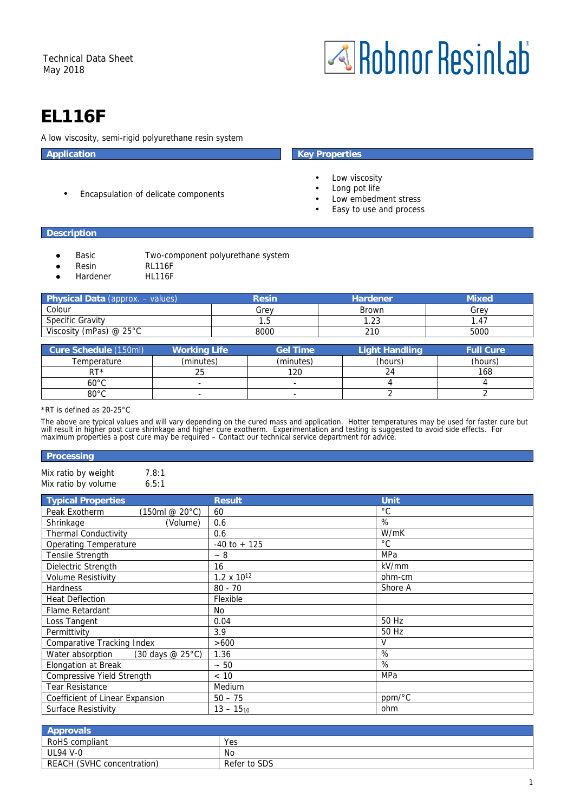

# **EL116F**

A low viscosity, semi-rigid polyurethane resin system

• Encapsulation of delicate components

# **Application** Key Properties

- Low viscosity
- Long pot life
- Low embedment stress
- Easy to use and process

# **Description**

- Basic Two-component polyurethane system
- 
- Resin RL116F
- Hardener HL116F

| <b>Physical Data (approx. - values)</b> | Resin | <b>Hardener</b> | Mixed |
|-----------------------------------------|-------|-----------------|-------|
| Colour                                  | Grev  | Brown           | Grev  |
| <b>Specific Gravity</b>                 | . .ხ  | 1.23            | . 47  |
| Viscosity (mPas) @ $25^{\circ}$ C       | 8000  | 210             | 5000  |

| Cure Schedule (150ml) | <b>Working Life</b> | <b>Gel Time</b>          | <b>Light Handling</b> | <b>Full Cure</b> |
|-----------------------|---------------------|--------------------------|-----------------------|------------------|
| Temperature           | (minutes)           | (minutes)                | (hours)               | (hours)          |
| RT*                   | 25                  | 120                      | 24                    | 168              |
| $60^{\circ}$ C        |                     | $\overline{\phantom{a}}$ |                       |                  |
| $80^{\circ}$ C        | -                   | $\sim$                   |                       |                  |

### \*RT is defined as 20-25°C

The above are typical values and will vary depending on the cured mass and application. Hotter temperatures may be used for faster cure but will result in higher post cure shrinkage and higher cure exotherm. Experimentation and testing is suggested to avoid side effects. For<br>maximum properties a post cure may be required – Contact our technical service departm

#### **Processing**

Mix ratio by weight 7.8:1 Mix ratio by volume 6.5:1

| <b>Typical Properties</b>                                           | <b>Result</b>        | Unit         |
|---------------------------------------------------------------------|----------------------|--------------|
| Peak Exotherm<br>(150ml @ 20°C)                                     | 60                   | $^{\circ}$ C |
| Shrinkage<br>(Volume)                                               | 0.6                  | %            |
| <b>Thermal Conductivity</b>                                         | 0.6                  | W/mK         |
| <b>Operating Temperature</b>                                        | $-40$ to $+125$      | °C           |
| Tensile Strength                                                    | $-8$                 | MPa          |
| Dielectric Strength                                                 | 16                   | kV/mm        |
| <b>Volume Resistivity</b>                                           | $1.2 \times 10^{12}$ | ohm-cm       |
| <b>Hardness</b>                                                     | $80 - 70$            | Shore A      |
| <b>Heat Deflection</b>                                              | Flexible             |              |
| Flame Retardant                                                     | No                   |              |
| Loss Tangent                                                        | 0.04                 | 50 Hz        |
| Permittivity                                                        | 3.9                  | 50 Hz        |
| Comparative Tracking Index                                          | >600                 | v            |
| $(30 \text{ days} \otimes 25^{\circ} \text{C})$<br>Water absorption | 1.36                 | %            |
| <b>Elongation at Break</b>                                          | $~1 - 50$            | %            |
| <b>Compressive Yield Strength</b>                                   | < 10                 | MPa          |
| <b>Tear Resistance</b>                                              | Medium               |              |
| Coefficient of Linear Expansion                                     | $50 - 75$            | ppm/°C       |
| <b>Surface Resistivity</b>                                          | $13 - 15_{10}$       | ohm          |

| <b>Approvals</b>           |              |
|----------------------------|--------------|
| RoHS compliant             | Yes          |
| <b>UL94 V-0</b>            | No           |
| REACH (SVHC concentration) | Refer to SDS |